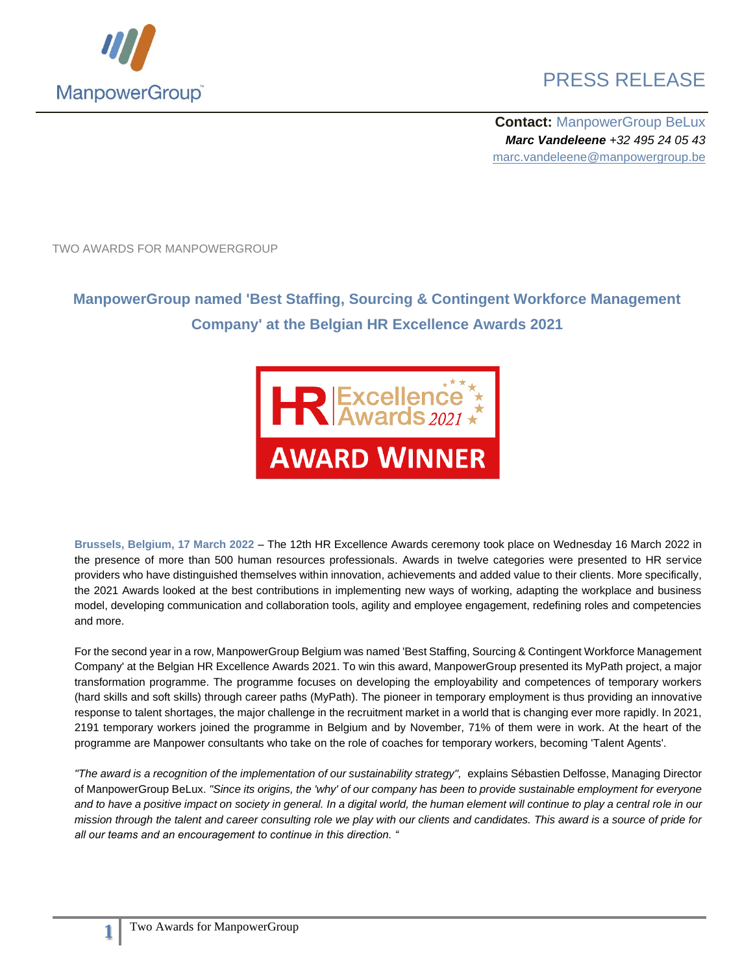

## PRESS RELEASE

**Contact:** ManpowerGroup BeLux *Marc Vandeleene +32 495 24 05 43* marc.vandeleene@manpowergroup.be

TWO AWARDS FOR MANPOWERGROUP

## **ManpowerGroup named 'Best Staffing, Sourcing & Contingent Workforce Management Company' at the Belgian HR Excellence Awards 2021**



**Brussels, Belgium, 17 March 2022** – The 12th HR Excellence Awards ceremony took place on Wednesday 16 March 2022 in the presence of more than 500 human resources professionals. Awards in twelve categories were presented to HR service providers who have distinguished themselves within innovation, achievements and added value to their clients. More specifically, the 2021 Awards looked at the best contributions in implementing new ways of working, adapting the workplace and business model, developing communication and collaboration tools, agility and employee engagement, redefining roles and competencies and more.

For the second year in a row, ManpowerGroup Belgium was named 'Best Staffing, Sourcing & Contingent Workforce Management Company' at the Belgian HR Excellence Awards 2021. To win this award, ManpowerGroup presented its MyPath project, a major transformation programme. The programme focuses on developing the employability and competences of temporary workers (hard skills and soft skills) through career paths (MyPath). The pioneer in temporary employment is thus providing an innovative response to talent shortages, the major challenge in the recruitment market in a world that is changing ever more rapidly. In 2021, 2191 temporary workers joined the programme in Belgium and by November, 71% of them were in work. At the heart of the programme are Manpower consultants who take on the role of coaches for temporary workers, becoming 'Talent Agents'.

"The award is a recognition of the implementation of our sustainability strategy", explains Sébastien Delfosse, Managing Director of ManpowerGroup BeLux. *"Since its origins, the 'why' of our company has been to provide sustainable employment for everyone*  and to have a positive impact on society in general. In a digital world, the human element will continue to play a central role in our *mission through the talent and career consulting role we play with our clients and candidates. This award is a source of pride for all our teams and an encouragement to continue in this direction. "*

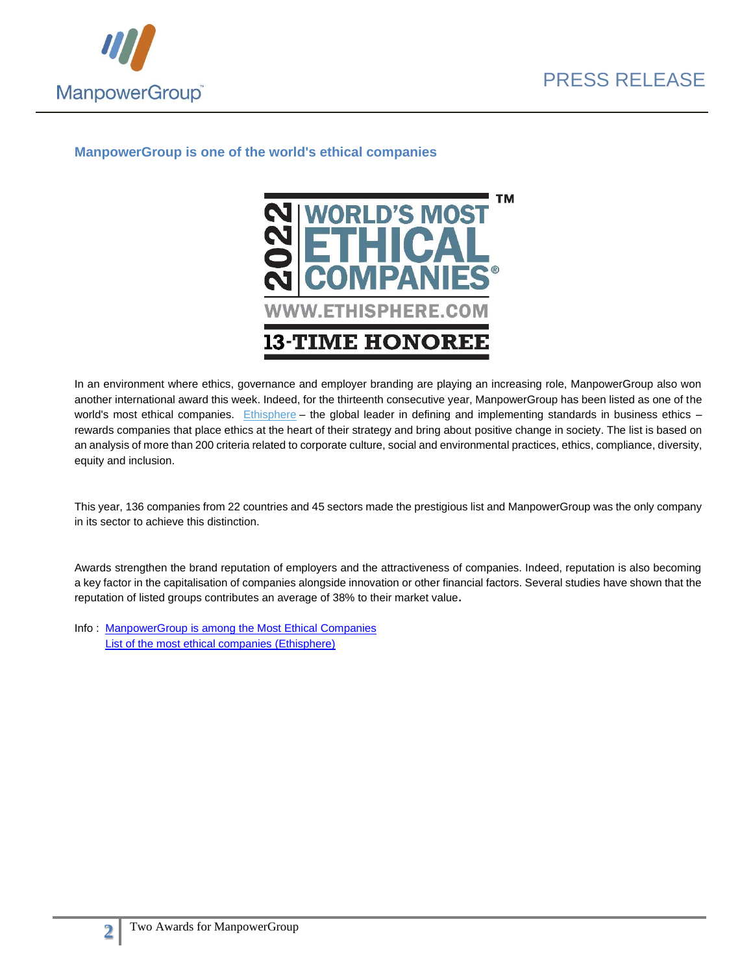



## **ManpowerGroup is one of the world's ethical companies**



In an environment where ethics, governance and employer branding are playing an increasing role, ManpowerGroup also won another international award this week. Indeed, for the thirteenth consecutive year, ManpowerGroup has been listed as one of the world's most ethical companies. [Ethisphere](https://ethisphere.com/) – the global leader in defining and implementing standards in business ethics – rewards companies that place ethics at the heart of their strategy and bring about positive change in society. The list is based on an analysis of more than 200 criteria related to corporate culture, social and environmental practices, ethics, compliance, diversity, equity and inclusion.

This year, 136 companies from 22 countries and 45 sectors made the prestigious list and ManpowerGroup was the only company in its sector to achieve this distinction.

Awards strengthen the brand reputation of employers and the attractiveness of companies. Indeed, reputation is also becoming a key factor in the capitalisation of companies alongside innovation or other financial factors. Several studies have shown that the reputation of listed groups contributes an average of 38% to their market value**.** 

Info : [ManpowerGroup is among the Most Ethical Companies](https://manpowergroupapps.sharepoint.com/sites/GS-GlobalSustainabilityResources/SitePages/March-15,-2022--ManpowerGroup-Named-One-of-the-World) [List of the most ethical companies \(Ethisphere\)](https://worldsmostethicalcompanies.com/honorees/?__hstc=259324510.d7f94832df663cb53470f0e1731b189a.1638379667238.1644340175376.1644517015262.94&__hssc=259324510.5.1644517015262&__hsfp=1799450104)